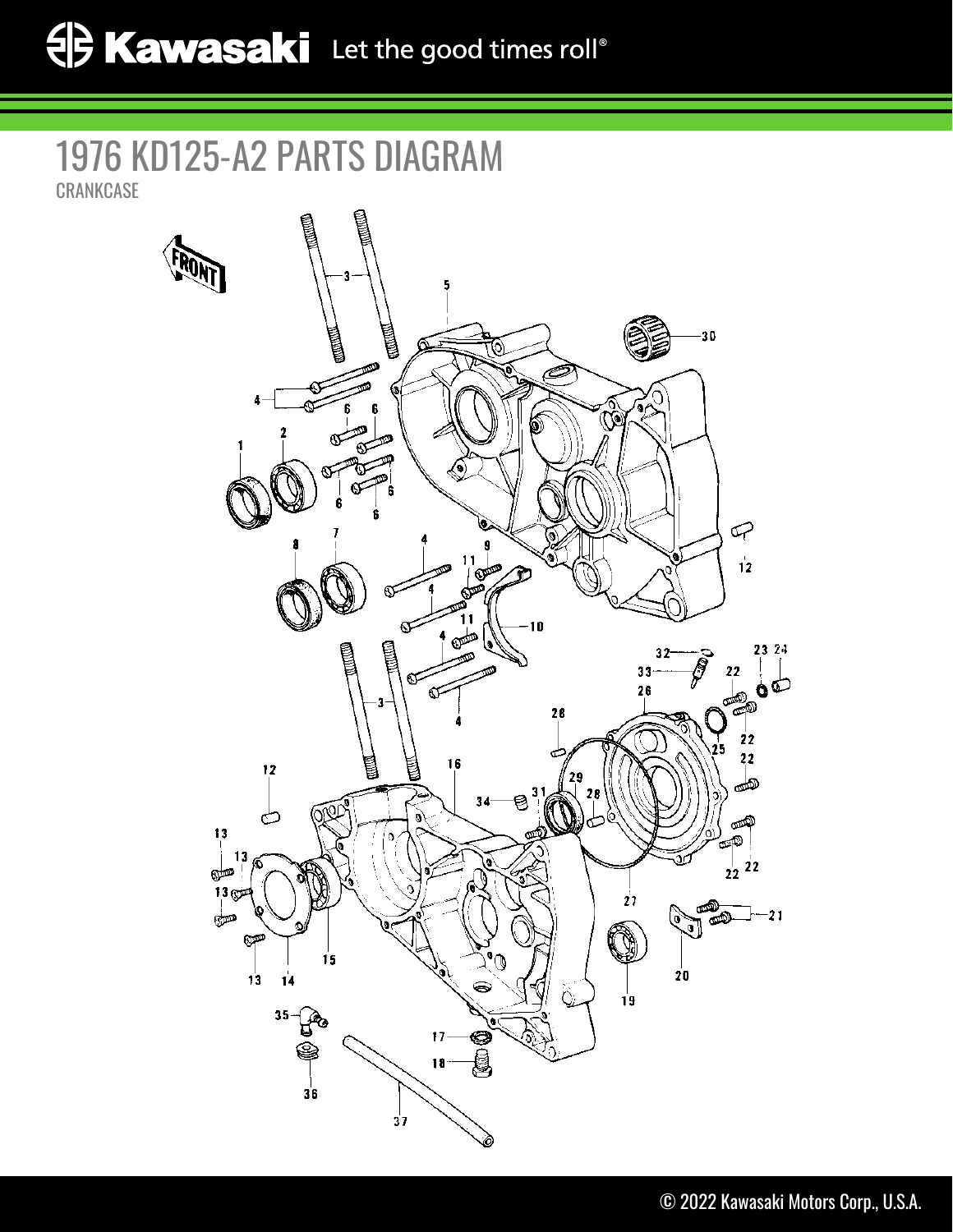## 1976 KD125-A2 PARTS DIAGRAM **CRANKCASE**

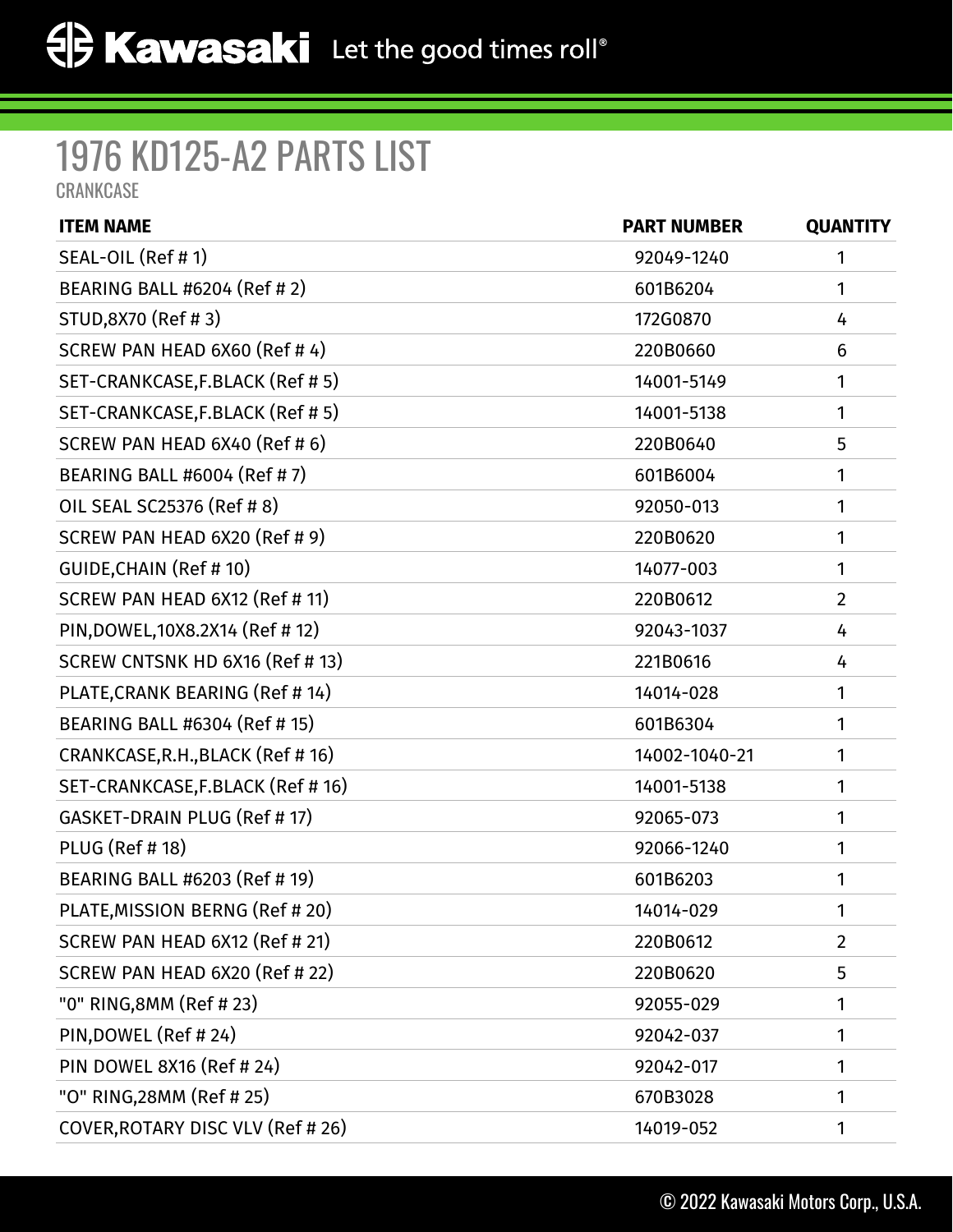## 1976 KD125-A2 PARTS LIST **CRANKCASE**

| <b>ITEM NAME</b>                   | <b>PART NUMBER</b> | <b>QUANTITY</b> |
|------------------------------------|--------------------|-----------------|
| SEAL-OIL (Ref #1)                  | 92049-1240         | 1               |
| <b>BEARING BALL #6204 (Ref #2)</b> | 601B6204           | $\mathbf{1}$    |
| STUD,8X70 (Ref # 3)                | 172G0870           | 4               |
| SCREW PAN HEAD 6X60 (Ref #4)       | 220B0660           | 6               |
| SET-CRANKCASE, F.BLACK (Ref # 5)   | 14001-5149         | $\mathbf{1}$    |
| SET-CRANKCASE, F.BLACK (Ref # 5)   | 14001-5138         | $\mathbf{1}$    |
| SCREW PAN HEAD 6X40 (Ref # 6)      | 220B0640           | 5               |
| BEARING BALL #6004 (Ref # 7)       | 601B6004           | 1               |
| OIL SEAL SC25376 (Ref # 8)         | 92050-013          | 1               |
| SCREW PAN HEAD 6X20 (Ref # 9)      | 220B0620           | 1               |
| GUIDE, CHAIN (Ref #10)             | 14077-003          | $\mathbf{1}$    |
| SCREW PAN HEAD 6X12 (Ref # 11)     | 220B0612           | $\overline{2}$  |
| PIN, DOWEL, 10X8.2X14 (Ref # 12)   | 92043-1037         | 4               |
| SCREW CNTSNK HD 6X16 (Ref # 13)    | 221B0616           | 4               |
| PLATE, CRANK BEARING (Ref # 14)    | 14014-028          | $\mathbf{1}$    |
| BEARING BALL #6304 (Ref # 15)      | 601B6304           | 1               |
| CRANKCASE, R.H., BLACK (Ref # 16)  | 14002-1040-21      | $\mathbf{1}$    |
| SET-CRANKCASE, F.BLACK (Ref # 16)  | 14001-5138         | 1               |
| <b>GASKET-DRAIN PLUG (Ref #17)</b> | 92065-073          | 1               |
| <b>PLUG (Ref #18)</b>              | 92066-1240         | 1               |
| BEARING BALL #6203 (Ref # 19)      | 601B6203           | 1               |
| PLATE, MISSION BERNG (Ref # 20)    | 14014-029          | $\mathbf{1}$    |
| SCREW PAN HEAD 6X12 (Ref # 21)     | 220B0612           | $\overline{2}$  |
| SCREW PAN HEAD 6X20 (Ref # 22)     | 220B0620           | 5               |
| "0" RING,8MM (Ref # 23)            | 92055-029          | 1               |
| PIN, DOWEL (Ref #24)               | 92042-037          | 1               |
| PIN DOWEL 8X16 (Ref # 24)          | 92042-017          | 1               |
| "O" RING, 28MM (Ref # 25)          | 670B3028           | 1               |
| COVER, ROTARY DISC VLV (Ref # 26)  | 14019-052          | 1               |